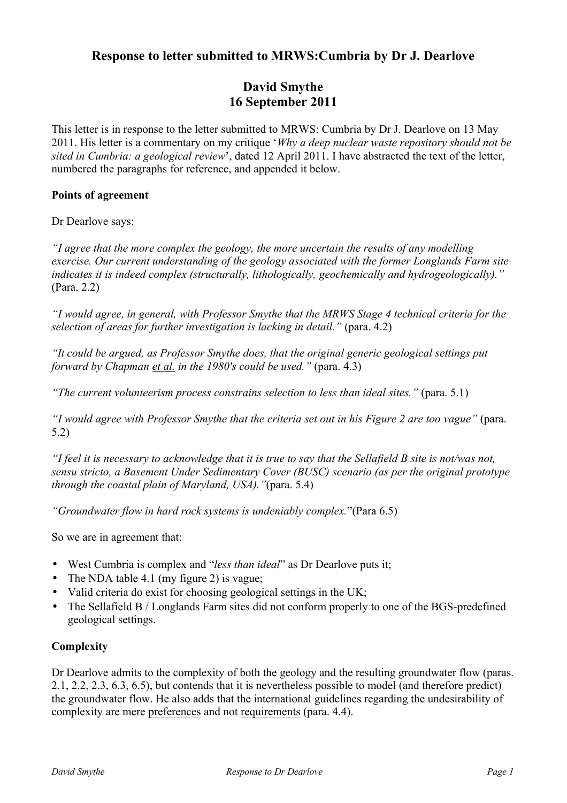# **Response to letter submitted to MRWS:Cumbria by Dr J. Dearlove**

# **David Smythe 16 September 2011**

This letter is in response to the letter submitted to MRWS: Cumbria by Dr J. Dearlove on 13 May 2011. His letter is a commentary on my critique '*Why a deep nuclear waste repository should not be sited in Cumbria: a geological review*', dated 12 April 2011. I have abstracted the text of the letter, numbered the paragraphs for reference, and appended it below.

### **Points of agreement**

Dr Dearlove says:

*"I agree that the more complex the geology, the more uncertain the results of any modelling exercise. Our current understanding of the geology associated with the former Longlands Farm site indicates it is indeed complex (structurally, lithologically, geochemically and hydrogeologically)."* (Para. 2.2)

*"I would agree, in general, with Professor Smythe that the MRWS Stage 4 technical criteria for the selection of areas for further investigation is lacking in detail."* (para. 4.2)

*"It could be argued, as Professor Smythe does, that the original generic geological settings put forward by Chapman et al. in the 1980's could be used."* (para. 4.3)

*"The current volunteerism process constrains selection to less than ideal sites."* (para. 5.1)

*"I would agree with Professor Smythe that the criteria set out in his Figure 2 are too vague"* (para. 5.2)

*"I feel it is necessary to acknowledge that it is true to say that the Sellafield B site is not/was not, sensu stricto, a Basement Under Sedimentary Cover (BUSC) scenario (as per the original prototype through the coastal plain of Maryland, USA)."*(para. 5.4)

*"Groundwater flow in hard rock systems is undeniably complex.*"(Para 6.5)

So we are in agreement that:

- West Cumbria is complex and "*less than ideal*" as Dr Dearlove puts it;
- The NDA table 4.1 (my figure 2) is vague;
- Valid criteria do exist for choosing geological settings in the UK;
- The Sellafield B / Longlands Farm sites did not conform properly to one of the BGS-predefined geological settings.

## **Complexity**

Dr Dearlove admits to the complexity of both the geology and the resulting groundwater flow (paras. 2.1, 2.2, 2.3, 6.3, 6.5), but contends that it is nevertheless possible to model (and therefore predict) the groundwater flow. He also adds that the international guidelines regarding the undesirability of complexity are mere preferences and not requirements (para. 4.4).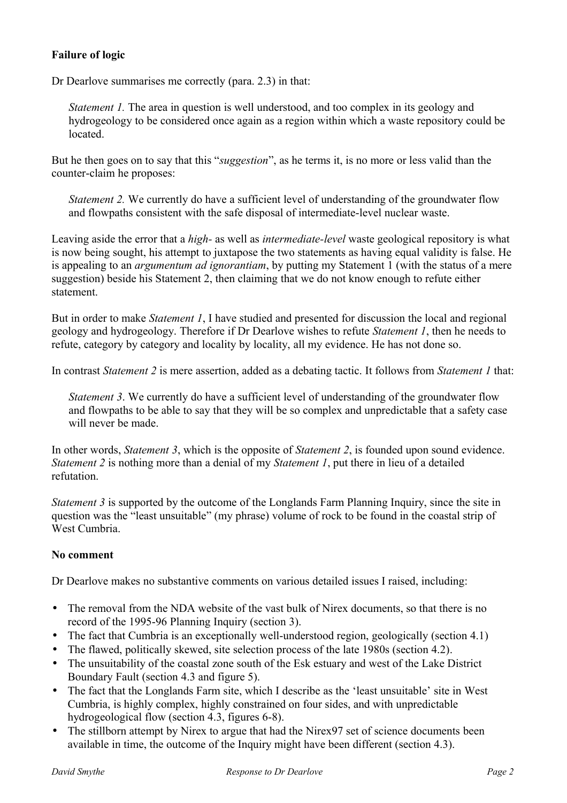## **Failure of logic**

Dr Dearlove summarises me correctly (para. 2.3) in that:

*Statement 1.* The area in question is well understood, and too complex in its geology and hydrogeology to be considered once again as a region within which a waste repository could be **located** 

But he then goes on to say that this "*suggestion*", as he terms it, is no more or less valid than the counter-claim he proposes:

*Statement 2.* We currently do have a sufficient level of understanding of the groundwater flow and flowpaths consistent with the safe disposal of intermediate-level nuclear waste.

Leaving aside the error that a *high-* as well as *intermediate-level* waste geological repository is what is now being sought, his attempt to juxtapose the two statements as having equal validity is false. He is appealing to an *argumentum ad ignorantiam*, by putting my Statement 1 (with the status of a mere suggestion) beside his Statement 2, then claiming that we do not know enough to refute either statement.

But in order to make *Statement 1*, I have studied and presented for discussion the local and regional geology and hydrogeology. Therefore if Dr Dearlove wishes to refute *Statement 1*, then he needs to refute, category by category and locality by locality, all my evidence. He has not done so.

In contrast *Statement 2* is mere assertion, added as a debating tactic. It follows from *Statement 1* that:

*Statement 3.* We currently do have a sufficient level of understanding of the groundwater flow and flowpaths to be able to say that they will be so complex and unpredictable that a safety case will never be made.

In other words, *Statement 3*, which is the opposite of *Statement 2*, is founded upon sound evidence. *Statement 2* is nothing more than a denial of my *Statement 1*, put there in lieu of a detailed refutation.

*Statement 3* is supported by the outcome of the Longlands Farm Planning Inquiry, since the site in question was the "least unsuitable" (my phrase) volume of rock to be found in the coastal strip of West Cumbria.

## **No comment**

Dr Dearlove makes no substantive comments on various detailed issues I raised, including:

- The removal from the NDA website of the vast bulk of Nirex documents, so that there is no record of the 1995-96 Planning Inquiry (section 3).
- The fact that Cumbria is an exceptionally well-understood region, geologically (section 4.1)
- The flawed, politically skewed, site selection process of the late 1980s (section 4.2).
- The unsuitability of the coastal zone south of the Esk estuary and west of the Lake District Boundary Fault (section 4.3 and figure 5).
- The fact that the Longlands Farm site, which I describe as the 'least unsuitable' site in West Cumbria, is highly complex, highly constrained on four sides, and with unpredictable hydrogeological flow (section 4.3, figures 6-8).
- The stillborn attempt by Nirex to argue that had the Nirex97 set of science documents been available in time, the outcome of the Inquiry might have been different (section 4.3).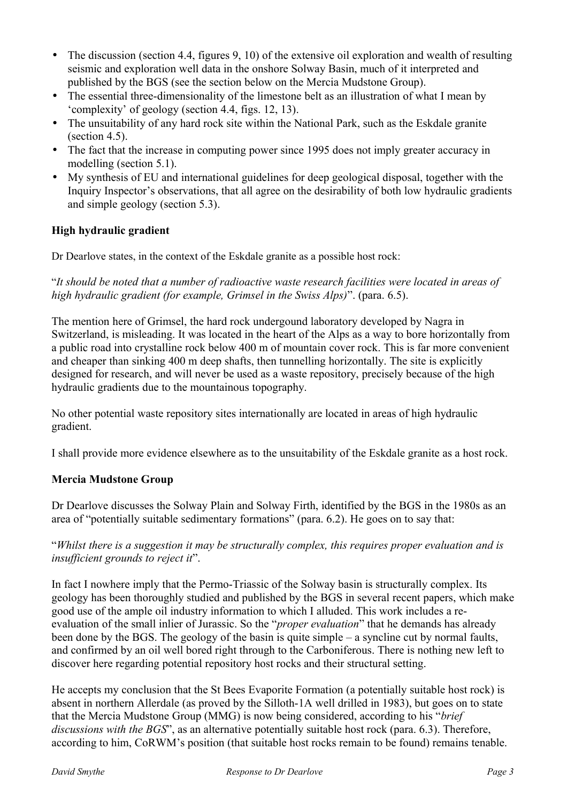- The discussion (section 4.4, figures 9, 10) of the extensive oil exploration and wealth of resulting seismic and exploration well data in the onshore Solway Basin, much of it interpreted and published by the BGS (see the section below on the Mercia Mudstone Group).
- The essential three-dimensionality of the limestone belt as an illustration of what I mean by 'complexity' of geology (section 4.4, figs. 12, 13).
- The unsuitability of any hard rock site within the National Park, such as the Eskdale granite (section 4.5).
- The fact that the increase in computing power since 1995 does not imply greater accuracy in modelling (section 5.1).
- My synthesis of EU and international guidelines for deep geological disposal, together with the Inquiry Inspector's observations, that all agree on the desirability of both low hydraulic gradients and simple geology (section 5.3).

# **High hydraulic gradient**

Dr Dearlove states, in the context of the Eskdale granite as a possible host rock:

"*It should be noted that a number of radioactive waste research facilities were located in areas of high hydraulic gradient (for example, Grimsel in the Swiss Alps)*". (para. 6.5).

The mention here of Grimsel, the hard rock undergound laboratory developed by Nagra in Switzerland, is misleading. It was located in the heart of the Alps as a way to bore horizontally from a public road into crystalline rock below 400 m of mountain cover rock. This is far more convenient and cheaper than sinking 400 m deep shafts, then tunnelling horizontally. The site is explicitly designed for research, and will never be used as a waste repository, precisely because of the high hydraulic gradients due to the mountainous topography.

No other potential waste repository sites internationally are located in areas of high hydraulic gradient.

I shall provide more evidence elsewhere as to the unsuitability of the Eskdale granite as a host rock.

## **Mercia Mudstone Group**

Dr Dearlove discusses the Solway Plain and Solway Firth, identified by the BGS in the 1980s as an area of "potentially suitable sedimentary formations" (para. 6.2). He goes on to say that:

"*Whilst there is a suggestion it may be structurally complex, this requires proper evaluation and is insufficient grounds to reject it*".

In fact I nowhere imply that the Permo-Triassic of the Solway basin is structurally complex. Its geology has been thoroughly studied and published by the BGS in several recent papers, which make good use of the ample oil industry information to which I alluded. This work includes a reevaluation of the small inlier of Jurassic. So the "*proper evaluation*" that he demands has already been done by the BGS. The geology of the basin is quite simple – a syncline cut by normal faults, and confirmed by an oil well bored right through to the Carboniferous. There is nothing new left to discover here regarding potential repository host rocks and their structural setting.

He accepts my conclusion that the St Bees Evaporite Formation (a potentially suitable host rock) is absent in northern Allerdale (as proved by the Silloth-1A well drilled in 1983), but goes on to state that the Mercia Mudstone Group (MMG) is now being considered, according to his "*brief discussions with the BGS*", as an alternative potentially suitable host rock (para. 6.3). Therefore, according to him, CoRWM's position (that suitable host rocks remain to be found) remains tenable.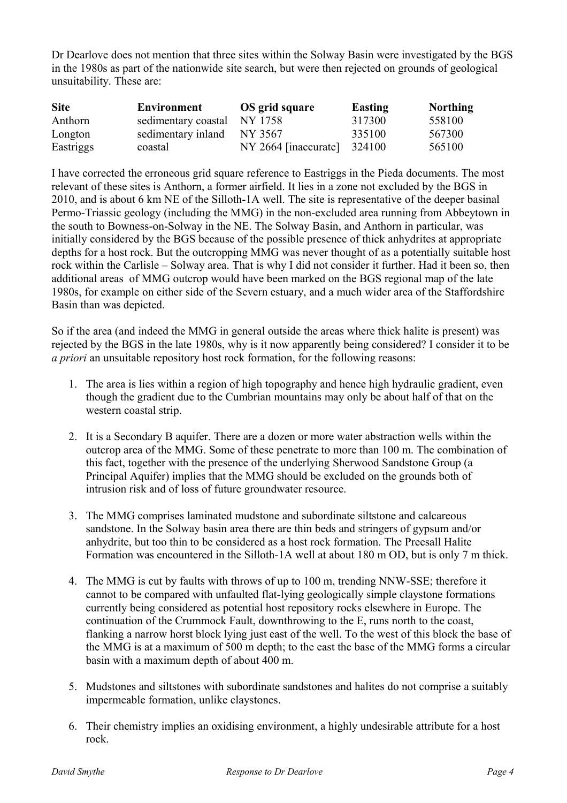Dr Dearlove does not mention that three sites within the Solway Basin were investigated by the BGS in the 1980s as part of the nationwide site search, but were then rejected on grounds of geological unsuitability. These are:

| <b>Site</b> | Environment         | OS grid square         | Easting | <b>Northing</b> |
|-------------|---------------------|------------------------|---------|-----------------|
| Anthorn     | sedimentary coastal | NY 1758                | 317300  | 558100          |
| Longton     | sedimentary inland  | NY 3567                | 335100  | 567300          |
| Eastriggs   | coastal             | $NY 2664$ [inaccurate] | 324100  | 565100          |

I have corrected the erroneous grid square reference to Eastriggs in the Pieda documents. The most relevant of these sites is Anthorn, a former airfield. It lies in a zone not excluded by the BGS in 2010, and is about 6 km NE of the Silloth-1A well. The site is representative of the deeper basinal Permo-Triassic geology (including the MMG) in the non-excluded area running from Abbeytown in the south to Bowness-on-Solway in the NE. The Solway Basin, and Anthorn in particular, was initially considered by the BGS because of the possible presence of thick anhydrites at appropriate depths for a host rock. But the outcropping MMG was never thought of as a potentially suitable host rock within the Carlisle – Solway area. That is why I did not consider it further. Had it been so, then additional areas of MMG outcrop would have been marked on the BGS regional map of the late 1980s, for example on either side of the Severn estuary, and a much wider area of the Staffordshire Basin than was depicted.

So if the area (and indeed the MMG in general outside the areas where thick halite is present) was rejected by the BGS in the late 1980s, why is it now apparently being considered? I consider it to be *a priori* an unsuitable repository host rock formation, for the following reasons:

- 1. The area is lies within a region of high topography and hence high hydraulic gradient, even though the gradient due to the Cumbrian mountains may only be about half of that on the western coastal strip.
- 2. It is a Secondary B aquifer. There are a dozen or more water abstraction wells within the outcrop area of the MMG. Some of these penetrate to more than 100 m. The combination of this fact, together with the presence of the underlying Sherwood Sandstone Group (a Principal Aquifer) implies that the MMG should be excluded on the grounds both of intrusion risk and of loss of future groundwater resource.
- 3. The MMG comprises laminated mudstone and subordinate siltstone and calcareous sandstone. In the Solway basin area there are thin beds and stringers of gypsum and/or anhydrite, but too thin to be considered as a host rock formation. The Preesall Halite Formation was encountered in the Silloth-1A well at about 180 m OD, but is only 7 m thick.
- 4. The MMG is cut by faults with throws of up to 100 m, trending NNW-SSE; therefore it cannot to be compared with unfaulted flat-lying geologically simple claystone formations currently being considered as potential host repository rocks elsewhere in Europe. The continuation of the Crummock Fault, downthrowing to the E, runs north to the coast, flanking a narrow horst block lying just east of the well. To the west of this block the base of the MMG is at a maximum of 500 m depth; to the east the base of the MMG forms a circular basin with a maximum depth of about 400 m.
- 5. Mudstones and siltstones with subordinate sandstones and halites do not comprise a suitably impermeable formation, unlike claystones.
- 6. Their chemistry implies an oxidising environment, a highly undesirable attribute for a host rock.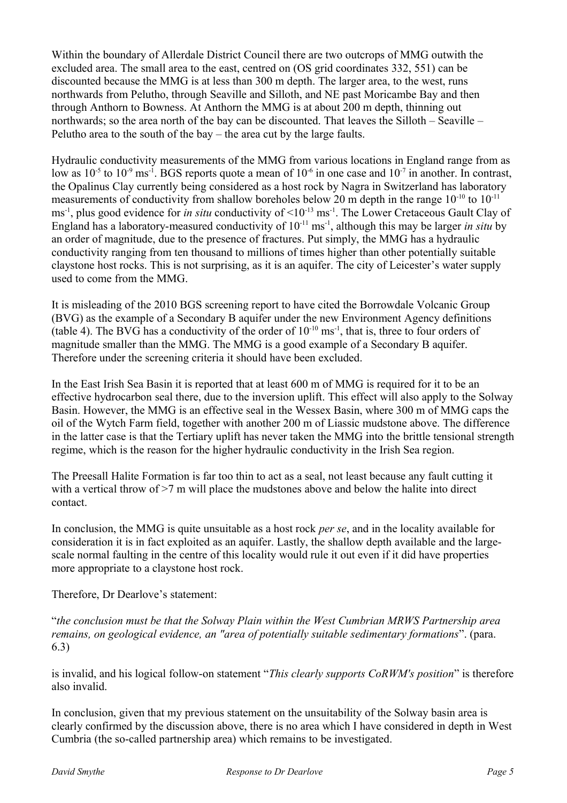Within the boundary of Allerdale District Council there are two outcrops of MMG outwith the excluded area. The small area to the east, centred on (OS grid coordinates 332, 551) can be discounted because the MMG is at less than 300 m depth. The larger area, to the west, runs northwards from Pelutho, through Seaville and Silloth, and NE past Moricambe Bay and then through Anthorn to Bowness. At Anthorn the MMG is at about 200 m depth, thinning out northwards; so the area north of the bay can be discounted. That leaves the Silloth – Seaville – Pelutho area to the south of the bay – the area cut by the large faults.

Hydraulic conductivity measurements of the MMG from various locations in England range from as low as  $10^{-5}$  to  $10^{-9}$  ms<sup>-1</sup>. BGS reports quote a mean of  $10^{-6}$  in one case and  $10^{-7}$  in another. In contrast, the Opalinus Clay currently being considered as a host rock by Nagra in Switzerland has laboratory measurements of conductivity from shallow boreholes below 20 m depth in the range  $10^{-10}$  to  $10^{-11}$ ms<sup>-1</sup>, plus good evidence for *in situ* conductivity of <10<sup>-13</sup> ms<sup>-1</sup>. The Lower Cretaceous Gault Clay of England has a laboratory-measured conductivity of 10-11 ms-1, although this may be larger *in situ* by an order of magnitude, due to the presence of fractures. Put simply, the MMG has a hydraulic conductivity ranging from ten thousand to millions of times higher than other potentially suitable claystone host rocks. This is not surprising, as it is an aquifer. The city of Leicester's water supply used to come from the MMG.

It is misleading of the 2010 BGS screening report to have cited the Borrowdale Volcanic Group (BVG) as the example of a Secondary B aquifer under the new Environment Agency definitions (table 4). The BVG has a conductivity of the order of  $10^{-10}$  ms<sup>-1</sup>, that is, three to four orders of magnitude smaller than the MMG. The MMG is a good example of a Secondary B aquifer. Therefore under the screening criteria it should have been excluded.

In the East Irish Sea Basin it is reported that at least 600 m of MMG is required for it to be an effective hydrocarbon seal there, due to the inversion uplift. This effect will also apply to the Solway Basin. However, the MMG is an effective seal in the Wessex Basin, where 300 m of MMG caps the oil of the Wytch Farm field, together with another 200 m of Liassic mudstone above. The difference in the latter case is that the Tertiary uplift has never taken the MMG into the brittle tensional strength regime, which is the reason for the higher hydraulic conductivity in the Irish Sea region.

The Preesall Halite Formation is far too thin to act as a seal, not least because any fault cutting it with a vertical throw of  $\geq 7$  m will place the mudstones above and below the halite into direct contact.

In conclusion, the MMG is quite unsuitable as a host rock *per se*, and in the locality available for consideration it is in fact exploited as an aquifer. Lastly, the shallow depth available and the largescale normal faulting in the centre of this locality would rule it out even if it did have properties more appropriate to a claystone host rock.

Therefore, Dr Dearlove's statement:

"*the conclusion must be that the Solway Plain within the West Cumbrian MRWS Partnership area remains, on geological evidence, an "area of potentially suitable sedimentary formations*". (para. 6.3)

is invalid, and his logical follow-on statement "*This clearly supports CoRWM's position*" is therefore also invalid.

In conclusion, given that my previous statement on the unsuitability of the Solway basin area is clearly confirmed by the discussion above, there is no area which I have considered in depth in West Cumbria (the so-called partnership area) which remains to be investigated.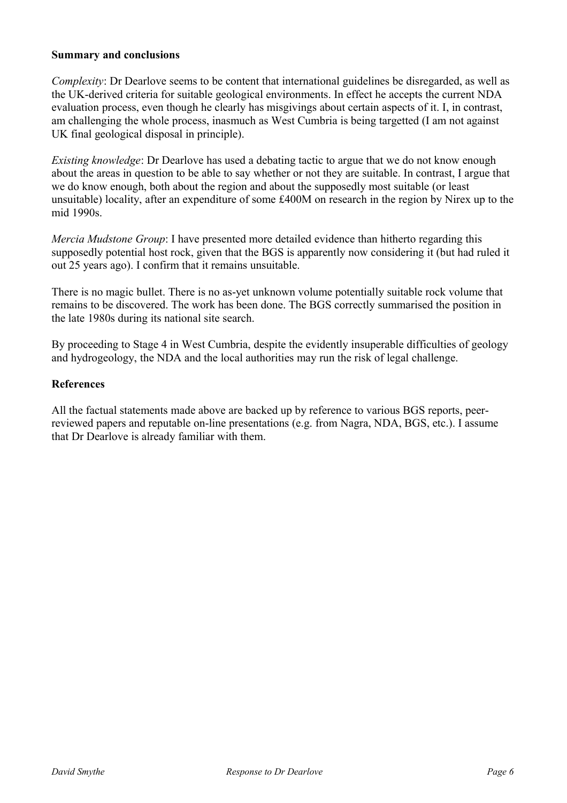#### **Summary and conclusions**

*Complexity*: Dr Dearlove seems to be content that international guidelines be disregarded, as well as the UK-derived criteria for suitable geological environments. In effect he accepts the current NDA evaluation process, even though he clearly has misgivings about certain aspects of it. I, in contrast, am challenging the whole process, inasmuch as West Cumbria is being targetted (I am not against UK final geological disposal in principle).

*Existing knowledge*: Dr Dearlove has used a debating tactic to argue that we do not know enough about the areas in question to be able to say whether or not they are suitable. In contrast, I argue that we do know enough, both about the region and about the supposedly most suitable (or least unsuitable) locality, after an expenditure of some £400M on research in the region by Nirex up to the mid 1990s.

*Mercia Mudstone Group*: I have presented more detailed evidence than hitherto regarding this supposedly potential host rock, given that the BGS is apparently now considering it (but had ruled it out 25 years ago). I confirm that it remains unsuitable.

There is no magic bullet. There is no as-yet unknown volume potentially suitable rock volume that remains to be discovered. The work has been done. The BGS correctly summarised the position in the late 1980s during its national site search.

By proceeding to Stage 4 in West Cumbria, despite the evidently insuperable difficulties of geology and hydrogeology, the NDA and the local authorities may run the risk of legal challenge.

### **References**

All the factual statements made above are backed up by reference to various BGS reports, peerreviewed papers and reputable on-line presentations (e.g. from Nagra, NDA, BGS, etc.). I assume that Dr Dearlove is already familiar with them.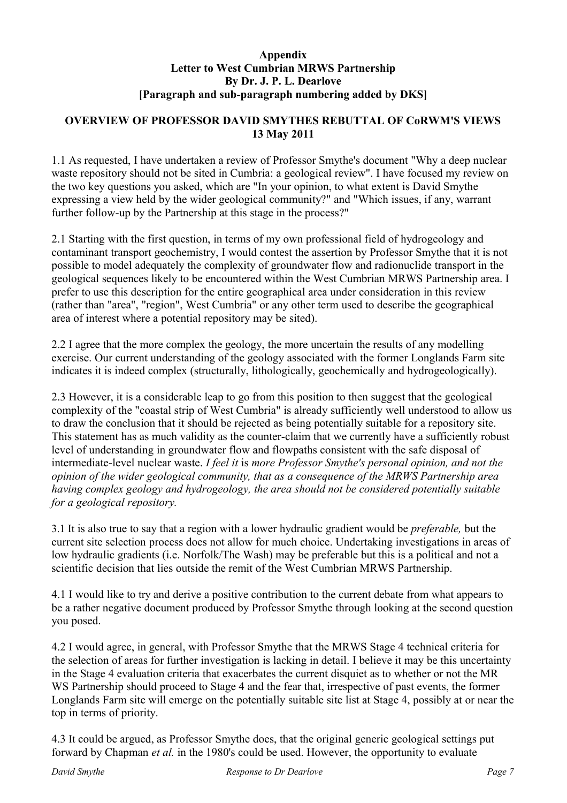### **Appendix Letter to West Cumbrian MRWS Partnership By Dr. J. P. L. Dearlove [Paragraph and sub-paragraph numbering added by DKS]**

### **OVERVIEW OF PROFESSOR DAVID SMYTHES REBUTTAL OF CoRWM'S VIEWS 13 May 2011**

1.1 As requested, I have undertaken a review of Professor Smythe's document "Why a deep nuclear waste repository should not be sited in Cumbria: a geological review". I have focused my review on the two key questions you asked, which are "In your opinion, to what extent is David Smythe expressing a view held by the wider geological community?" and "Which issues, if any, warrant further follow-up by the Partnership at this stage in the process?"

2.1 Starting with the first question, in terms of my own professional field of hydrogeology and contaminant transport geochemistry, I would contest the assertion by Professor Smythe that it is not possible to model adequately the complexity of groundwater flow and radionuclide transport in the geological sequences likely to be encountered within the West Cumbrian MRWS Partnership area. I prefer to use this description for the entire geographical area under consideration in this review (rather than "area", "region", West Cumbria" or any other term used to describe the geographical area of interest where a potential repository may be sited).

2.2 I agree that the more complex the geology, the more uncertain the results of any modelling exercise. Our current understanding of the geology associated with the former Longlands Farm site indicates it is indeed complex (structurally, lithologically, geochemically and hydrogeologically).

2.3 However, it is a considerable leap to go from this position to then suggest that the geological complexity of the "coastal strip of West Cumbria" is already sufficiently well understood to allow us to draw the conclusion that it should be rejected as being potentially suitable for a repository site. This statement has as much validity as the counter-claim that we currently have a sufficiently robust level of understanding in groundwater flow and flowpaths consistent with the safe disposal of intermediate-level nuclear waste. *I feel it* is *more Professor Smythe's personal opinion, and not the opinion of the wider geological community, that as a consequence of the MRWS Partnership area having complex geology and hydrogeology, the area should not be considered potentially suitable for a geological repository.*

3.1 It is also true to say that a region with a lower hydraulic gradient would be *preferable,* but the current site selection process does not allow for much choice. Undertaking investigations in areas of low hydraulic gradients (i.e. Norfolk/The Wash) may be preferable but this is a political and not a scientific decision that lies outside the remit of the West Cumbrian MRWS Partnership.

4.1 I would like to try and derive a positive contribution to the current debate from what appears to be a rather negative document produced by Professor Smythe through looking at the second question you posed.

4.2 I would agree, in general, with Professor Smythe that the MRWS Stage 4 technical criteria for the selection of areas for further investigation is lacking in detail. I believe it may be this uncertainty in the Stage 4 evaluation criteria that exacerbates the current disquiet as to whether or not the MR WS Partnership should proceed to Stage 4 and the fear that, irrespective of past events, the former Longlands Farm site will emerge on the potentially suitable site list at Stage 4, possibly at or near the top in terms of priority.

4.3 It could be argued, as Professor Smythe does, that the original generic geological settings put forward by Chapman *et al.* in the 1980's could be used. However, the opportunity to evaluate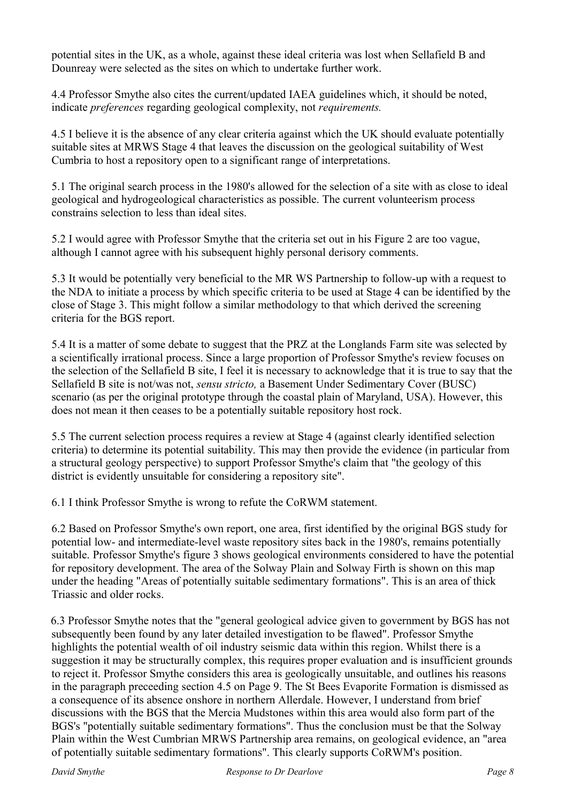potential sites in the UK, as a whole, against these ideal criteria was lost when Sellafield B and Dounreay were selected as the sites on which to undertake further work.

4.4 Professor Smythe also cites the current/updated IAEA guidelines which, it should be noted, indicate *preferences* regarding geological complexity, not *requirements.*

4.5 I believe it is the absence of any clear criteria against which the UK should evaluate potentially suitable sites at MRWS Stage 4 that leaves the discussion on the geological suitability of West Cumbria to host a repository open to a significant range of interpretations.

5.1 The original search process in the 1980's allowed for the selection of a site with as close to ideal geological and hydrogeological characteristics as possible. The current volunteerism process constrains selection to less than ideal sites.

5.2 I would agree with Professor Smythe that the criteria set out in his Figure 2 are too vague, although I cannot agree with his subsequent highly personal derisory comments.

5.3 It would be potentially very beneficial to the MR WS Partnership to follow-up with a request to the NDA to initiate a process by which specific criteria to be used at Stage 4 can be identified by the close of Stage 3. This might follow a similar methodology to that which derived the screening criteria for the BGS report.

5.4 It is a matter of some debate to suggest that the PRZ at the Longlands Farm site was selected by a scientifically irrational process. Since a large proportion of Professor Smythe's review focuses on the selection of the Sellafield B site, I feel it is necessary to acknowledge that it is true to say that the Sellafield B site is not/was not, *sensu stricto,* a Basement Under Sedimentary Cover (BUSC) scenario (as per the original prototype through the coastal plain of Maryland, USA). However, this does not mean it then ceases to be a potentially suitable repository host rock.

5.5 The current selection process requires a review at Stage 4 (against clearly identified selection criteria) to determine its potential suitability. This may then provide the evidence (in particular from a structural geology perspective) to support Professor Smythe's claim that "the geology of this district is evidently unsuitable for considering a repository site".

6.1 I think Professor Smythe is wrong to refute the CoRWM statement.

6.2 Based on Professor Smythe's own report, one area, first identified by the original BGS study for potential low- and intermediate-level waste repository sites back in the 1980's, remains potentially suitable. Professor Smythe's figure 3 shows geological environments considered to have the potential for repository development. The area of the Solway Plain and Solway Firth is shown on this map under the heading "Areas of potentially suitable sedimentary formations". This is an area of thick Triassic and older rocks.

6.3 Professor Smythe notes that the "general geological advice given to government by BGS has not subsequently been found by any later detailed investigation to be flawed". Professor Smythe highlights the potential wealth of oil industry seismic data within this region. Whilst there is a suggestion it may be structurally complex, this requires proper evaluation and is insufficient grounds to reject it. Professor Smythe considers this area is geologically unsuitable, and outlines his reasons in the paragraph preceeding section 4.5 on Page 9. The St Bees Evaporite Formation is dismissed as a consequence of its absence onshore in northern Allerdale. However, I understand from brief discussions with the BGS that the Mercia Mudstones within this area would also form part of the BGS's "potentially suitable sedimentary formations". Thus the conclusion must be that the Solway Plain within the West Cumbrian MRWS Partnership area remains, on geological evidence, an "area of potentially suitable sedimentary formations". This clearly supports CoRWM's position.